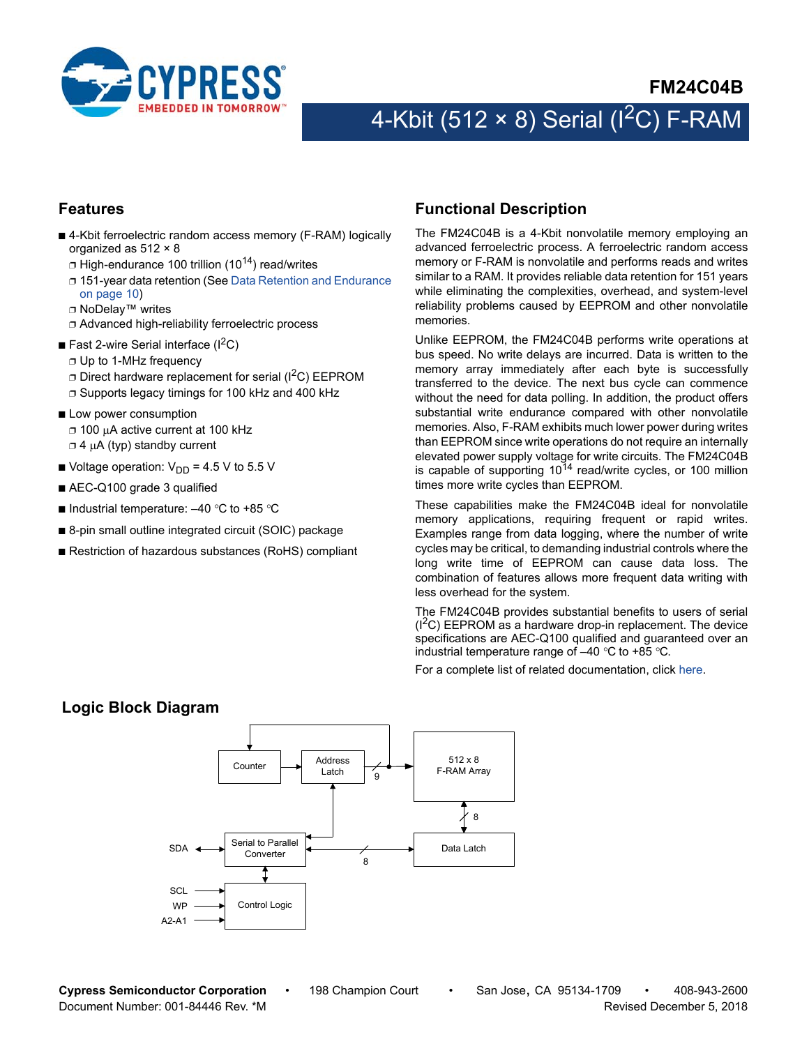

# 4-Kbit (512  $\times$  8) Serial (I<sup>2</sup>C) F-RAM

### <span id="page-0-1"></span>**Features**

- 4-Kbit ferroelectric random access memory (F-RAM) logically organized as 512 × 8
	- $\Box$  High-endurance 100 trillion (10<sup>14</sup>) read/writes
	- ❐ 151-year data retention (See [Data Retention and Endurance](#page-9-0) [on page 10](#page-9-0))
	- ❐ NoDelay™ writes
	- ❐ Advanced high-reliability ferroelectric process
- **E** Fast 2-wire Serial interface  $(I^2C)$ 
	- ❐ Up to 1-MHz frequency
	- $\Box$  Direct hardware replacement for serial ( $\rm{I}^2C$ ) EEPROM
	- ❐ Supports legacy timings for 100 kHz and 400 kHz
- Low power consumption ❐ 100 A active current at 100 kHz  $\Box$  4  $\mu$ A (typ) standby current
- Voltage operation:  $V_{DD}$  = 4.5 V to 5.5 V
- AEC-Q100 grade 3 qualified
- Industrial temperature:  $-40$  °C to +85 °C
- 8-pin small outline integrated circuit (SOIC) package
- Restriction of hazardous substances (RoHS) compliant

### <span id="page-0-0"></span>**Functional Description**

The FM24C04B is a 4-Kbit nonvolatile memory employing an advanced ferroelectric process. A ferroelectric random access memory or F-RAM is nonvolatile and performs reads and writes similar to a RAM. It provides reliable data retention for 151 years while eliminating the complexities, overhead, and system-level reliability problems caused by EEPROM and other nonvolatile memories.

Unlike EEPROM, the FM24C04B performs write operations at bus speed. No write delays are incurred. Data is written to the memory array immediately after each byte is successfully transferred to the device. The next bus cycle can commence without the need for data polling. In addition, the product offers substantial write endurance compared with other nonvolatile memories. Also, F-RAM exhibits much lower power during writes than EEPROM since write operations do not require an internally elevated power supply voltage for write circuits. The FM24C04B is capable of supporting  $10^{14}$  read/write cycles, or 100 million times more write cycles than EEPROM.

These capabilities make the FM24C04B ideal for nonvolatile memory applications, requiring frequent or rapid writes. Examples range from data logging, where the number of write cycles may be critical, to demanding industrial controls where the long write time of EEPROM can cause data loss. The combination of features allows more frequent data writing with less overhead for the system.

The FM24C04B provides substantial benefits to users of serial  $(1^2C)$  EEPROM as a hardware drop-in replacement. The device specifications are AEC-Q100 qualified and guaranteed over an industrial temperature range of  $-40$  °C to +85 °C.

For a complete list of related documentation, click [here](http://www.cypress.com/?rID=73450).

# **Logic Block Diagram**

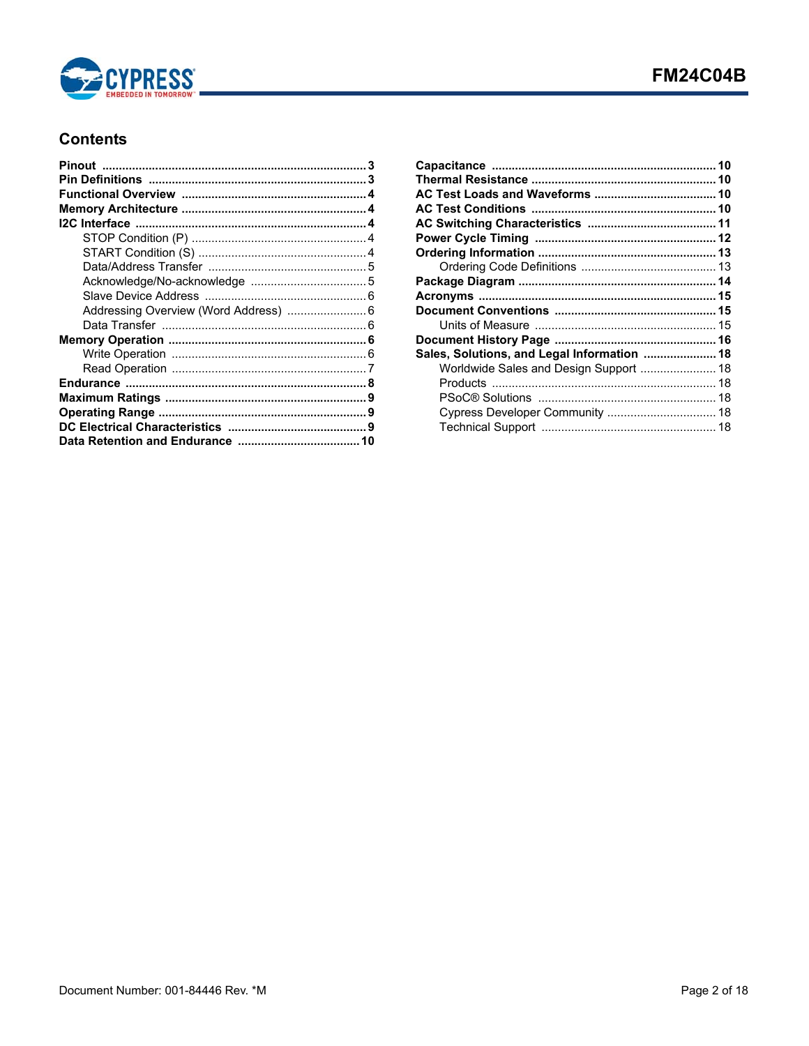

# **Contents**

| Sales, Solutions, and Legal Information  18 |  |
|---------------------------------------------|--|
| Worldwide Sales and Design Support  18      |  |
|                                             |  |
|                                             |  |
| Cypress Developer Community  18             |  |
|                                             |  |
|                                             |  |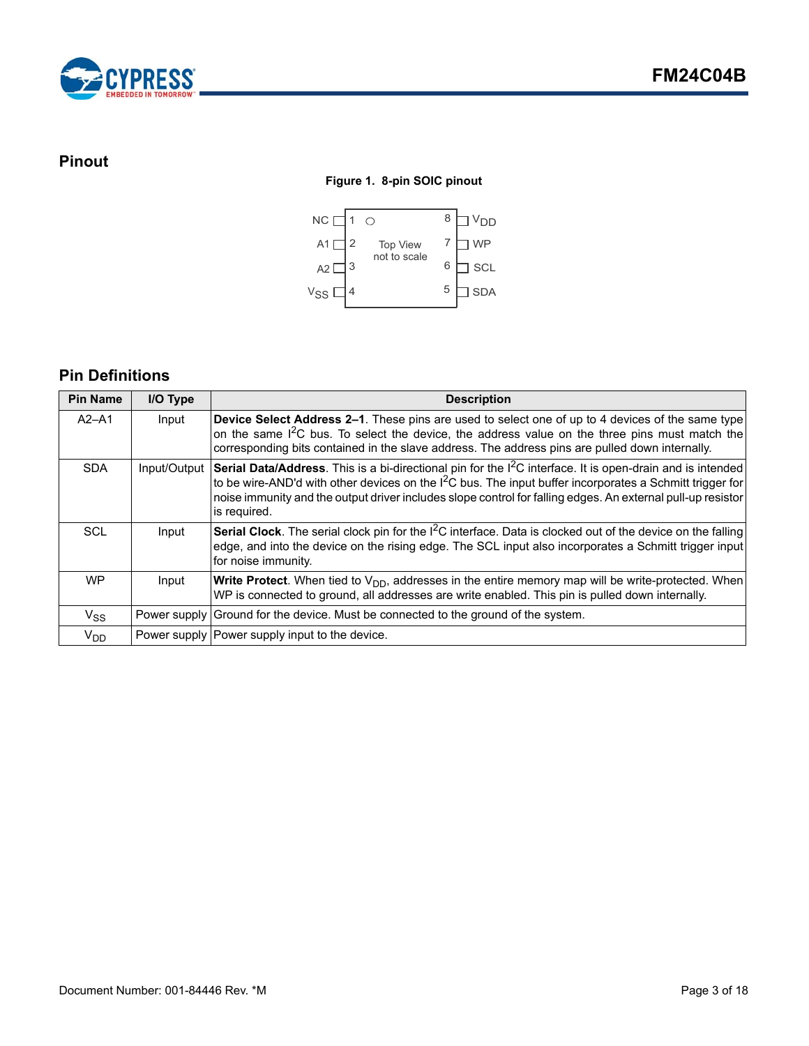

# <span id="page-2-0"></span>**Pinout**

### **Figure 1. 8-pin SOIC pinout**



# <span id="page-2-1"></span>**Pin Definitions**

| <b>Pin Name</b> | I/O Type     | <b>Description</b>                                                                                                                                                                                                                                                                                                                                                            |
|-----------------|--------------|-------------------------------------------------------------------------------------------------------------------------------------------------------------------------------------------------------------------------------------------------------------------------------------------------------------------------------------------------------------------------------|
| $A2 - A1$       | Input        | Device Select Address 2-1. These pins are used to select one of up to 4 devices of the same type<br>on the same I <sup>2</sup> C bus. To select the device, the address value on the three pins must match the<br>corresponding bits contained in the slave address. The address pins are pulled down internally.                                                             |
| <b>SDA</b>      | Input/Output | Serial Data/Address. This is a bi-directional pin for the I <sup>2</sup> C interface. It is open-drain and is intended<br>to be wire-AND'd with other devices on the I <sup>2</sup> C bus. The input buffer incorporates a Schmitt trigger for<br>noise immunity and the output driver includes slope control for falling edges. An external pull-up resistor<br>is required. |
| SCL             | Input        | Serial Clock. The serial clock pin for the I <sup>2</sup> C interface. Data is clocked out of the device on the falling<br>edge, and into the device on the rising edge. The SCL input also incorporates a Schmitt trigger input<br>for noise immunity.                                                                                                                       |
| <b>WP</b>       | Input        | <b>Write Protect.</b> When tied to $V_{DD}$ , addresses in the entire memory map will be write-protected. When<br>WP is connected to ground, all addresses are write enabled. This pin is pulled down internally.                                                                                                                                                             |
| $V_{SS}$        |              | Power supply Ground for the device. Must be connected to the ground of the system.                                                                                                                                                                                                                                                                                            |
| V <sub>DD</sub> |              | Power supply Power supply input to the device.                                                                                                                                                                                                                                                                                                                                |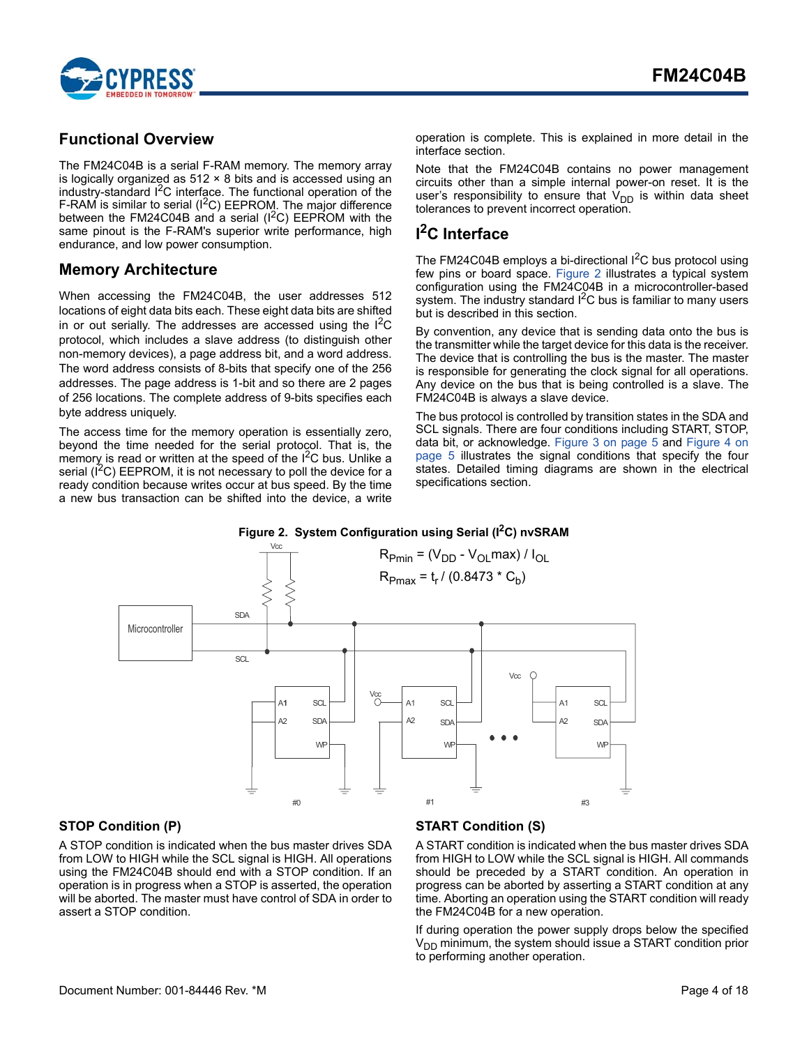

## <span id="page-3-0"></span>**Functional Overview**

The FM24C04B is a serial F-RAM memory. The memory array is logically organized as  $512 \times 8$  bits and is accessed using an industry-standard I<sup>2</sup>C interface. The functional operation of the F-RAM is similar to serial ( $1^2C$ ) EEPROM. The major difference between the FM24C04B and a serial  $(I^2C)$  EEPROM with the same pinout is the F-RAM's superior write performance, high endurance, and low power consumption.

## <span id="page-3-1"></span>**Memory Architecture**

When accessing the FM24C04B, the user addresses 512 locations of eight data bits each. These eight data bits are shifted in or out serially. The addresses are accessed using the  $1^2C$ protocol, which includes a slave address (to distinguish other non-memory devices), a page address bit, and a word address. The word address consists of 8-bits that specify one of the 256 addresses. The page address is 1-bit and so there are 2 pages of 256 locations. The complete address of 9-bits specifies each byte address uniquely.

The access time for the memory operation is essentially zero, beyond the time needed for the serial protocol. That is, the memory is read or written at the speed of the  $1<sup>2</sup>C$  bus. Unlike a serial  $(I^2C)$  EEPROM, it is not necessary to poll the device for a ready condition because writes occur at bus speed. By the time a new bus transaction can be shifted into the device, a write operation is complete. This is explained in more detail in the interface section.

Note that the FM24C04B contains no power management circuits other than a simple internal power-on reset. It is the user's responsibility to ensure that  $V_{DD}$  is within data sheet tolerances to prevent incorrect operation.

# <span id="page-3-2"></span>**I 2C Interface**

The FM24C04B employs a bi-directional I<sup>2</sup>C bus protocol using few pins or board space. [Figure 2](#page-3-5) illustrates a typical system configuration using the FM24C04B in a microcontroller-based system. The industry standard  $I<sup>2</sup>C$  bus is familiar to many users but is described in this section.

By convention, any device that is sending data onto the bus is the transmitter while the target device for this data is the receiver. The device that is controlling the bus is the master. The master is responsible for generating the clock signal for all operations. Any device on the bus that is being controlled is a slave. The FM24C04B is always a slave device.

The bus protocol is controlled by transition states in the SDA and SCL signals. There are four conditions including START, STOP, data bit, or acknowledge. [Figure 3 on page 5](#page-4-2) and [Figure 4 on](#page-4-3) [page 5](#page-4-3) illustrates the signal conditions that specify the four states. Detailed timing diagrams are shown in the electrical specifications section.

<span id="page-3-5"></span>

### <span id="page-3-3"></span>**STOP Condition (P)**

A STOP condition is indicated when the bus master drives SDA from LOW to HIGH while the SCL signal is HIGH. All operations using the FM24C04B should end with a STOP condition. If an operation is in progress when a STOP is asserted, the operation will be aborted. The master must have control of SDA in order to assert a STOP condition.

### <span id="page-3-4"></span>**START Condition (S)**

A START condition is indicated when the bus master drives SDA from HIGH to LOW while the SCL signal is HIGH. All commands should be preceded by a START condition. An operation in progress can be aborted by asserting a START condition at any time. Aborting an operation using the START condition will ready the FM24C04B for a new operation.

If during operation the power supply drops below the specified  $V_{DD}$  minimum, the system should issue a START condition prior to performing another operation.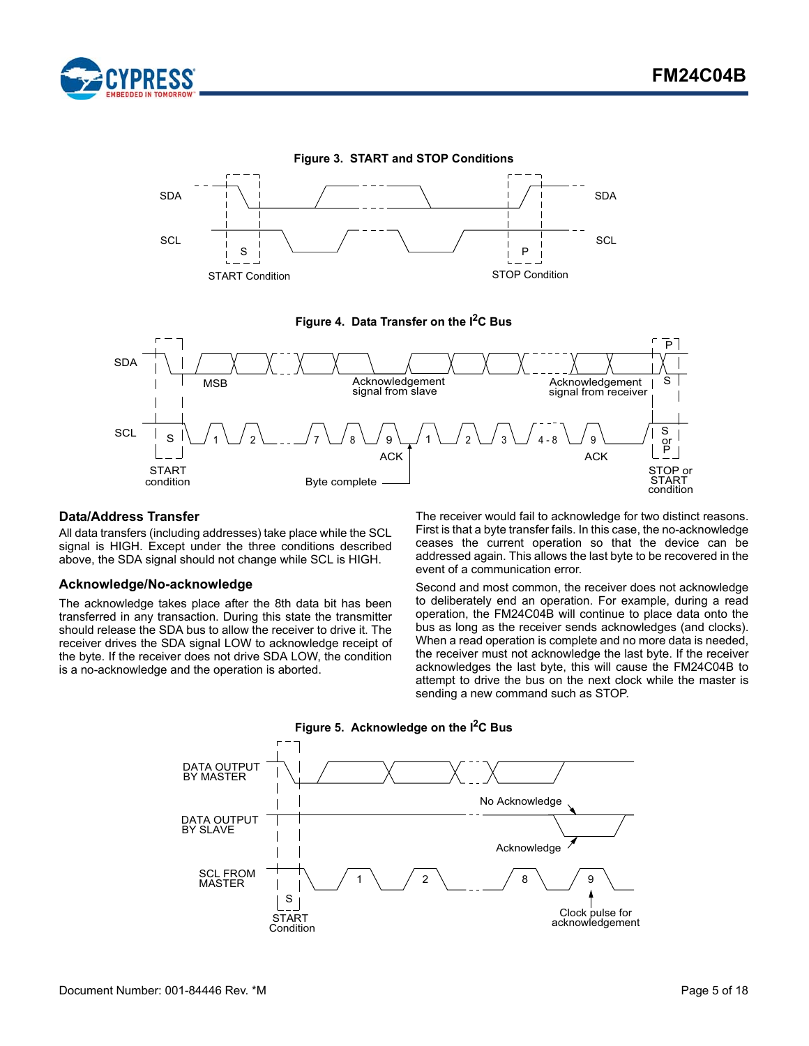

<span id="page-4-2"></span>

#### **Figure 4. Data Transfer on the I2C Bus**

<span id="page-4-3"></span>

#### <span id="page-4-0"></span>**Data/Address Transfer**

All data transfers (including addresses) take place while the SCL signal is HIGH. Except under the three conditions described above, the SDA signal should not change while SCL is HIGH.

#### <span id="page-4-1"></span>**Acknowledge/No-acknowledge**

The acknowledge takes place after the 8th data bit has been transferred in any transaction. During this state the transmitter should release the SDA bus to allow the receiver to drive it. The receiver drives the SDA signal LOW to acknowledge receipt of the byte. If the receiver does not drive SDA LOW, the condition is a no-acknowledge and the operation is aborted.

The receiver would fail to acknowledge for two distinct reasons. First is that a byte transfer fails. In this case, the no-acknowledge ceases the current operation so that the device can be addressed again. This allows the last byte to be recovered in the event of a communication error.

Second and most common, the receiver does not acknowledge to deliberately end an operation. For example, during a read operation, the FM24C04B will continue to place data onto the bus as long as the receiver sends acknowledges (and clocks). When a read operation is complete and no more data is needed, the receiver must not acknowledge the last byte. If the receiver acknowledges the last byte, this will cause the FM24C04B to attempt to drive the bus on the next clock while the master is sending a new command such as STOP.

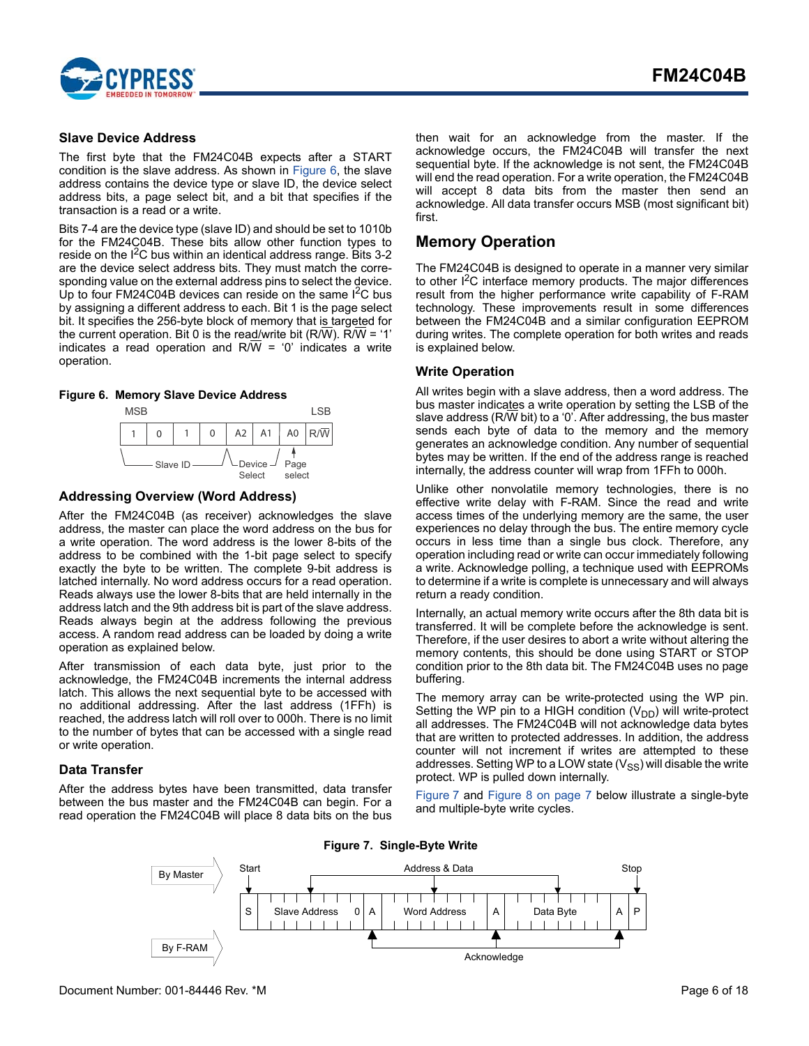

#### <span id="page-5-0"></span>**Slave Device Address**

The first byte that the FM24C04B expects after a START condition is the slave address. As shown in [Figure 6](#page-5-6), the slave address contains the device type or slave ID, the device select address bits, a page select bit, and a bit that specifies if the transaction is a read or a write.

Bits 7-4 are the device type (slave ID) and should be set to 1010b for the FM24C04B. These bits allow other function types to reside on the  $I^2C$  bus within an identical address range. Bits 3-2 are the device select address bits. They must match the corresponding value on the external address pins to select the device. Up to four FM24C04B devices can reside on the same  $I^2C$  bus by assigning a different address to each. Bit 1 is the page select bit. It specifies the 256-byte block of memory that is targeted for the current operation. Bit 0 is the read/write bit (R/W). R/W = '1' indicates a read operation and  $R/\overline{W}$  = '0' indicates a write operation.

#### <span id="page-5-6"></span>**Figure 6. Memory Slave Device Address**



#### <span id="page-5-1"></span>**Addressing Overview (Word Address)**

After the FM24C04B (as receiver) acknowledges the slave address, the master can place the word address on the bus for a write operation. The word address is the lower 8-bits of the address to be combined with the 1-bit page select to specify exactly the byte to be written. The complete 9-bit address is latched internally. No word address occurs for a read operation. Reads always use the lower 8-bits that are held internally in the address latch and the 9th address bit is part of the slave address. Reads always begin at the address following the previous access. A random read address can be loaded by doing a write operation as explained below.

After transmission of each data byte, just prior to the acknowledge, the FM24C04B increments the internal address latch. This allows the next sequential byte to be accessed with no additional addressing. After the last address (1FFh) is reached, the address latch will roll over to 000h. There is no limit to the number of bytes that can be accessed with a single read or write operation.

#### <span id="page-5-2"></span>**Data Transfer**

<span id="page-5-5"></span>After the address bytes have been transmitted, data transfer between the bus master and the FM24C04B can begin. For a read operation the FM24C04B will place 8 data bits on the bus then wait for an acknowledge from the master. If the acknowledge occurs, the FM24C04B will transfer the next sequential byte. If the acknowledge is not sent, the FM24C04B will end the read operation. For a write operation, the FM24C04B will accept 8 data bits from the master then send an acknowledge. All data transfer occurs MSB (most significant bit) first.

### <span id="page-5-3"></span>**Memory Operation**

The FM24C04B is designed to operate in a manner very similar to other  $I^2C$  interface memory products. The major differences result from the higher performance write capability of F-RAM technology. These improvements result in some differences between the FM24C04B and a similar configuration EEPROM during writes. The complete operation for both writes and reads is explained below.

#### <span id="page-5-4"></span>**Write Operation**

All writes begin with a slave address, then a word address. The bus master indicates a write operation by setting the LSB of the slave address (R/W bit) to a '0'. After addressing, the bus master sends each byte of data to the memory and the memory generates an acknowledge condition. Any number of sequential bytes may be written. If the end of the address range is reached internally, the address counter will wrap from 1FFh to 000h.

Unlike other nonvolatile memory technologies, there is no effective write delay with F-RAM. Since the read and write access times of the underlying memory are the same, the user experiences no delay through the bus. The entire memory cycle occurs in less time than a single bus clock. Therefore, any operation including read or write can occur immediately following a write. Acknowledge polling, a technique used with EEPROMs to determine if a write is complete is unnecessary and will always return a ready condition.

Internally, an actual memory write occurs after the 8th data bit is transferred. It will be complete before the acknowledge is sent. Therefore, if the user desires to abort a write without altering the memory contents, this should be done using START or STOP condition prior to the 8th data bit. The FM24C04B uses no page buffering.

The memory array can be write-protected using the WP pin. Setting the WP pin to a HIGH condition  $(V_{DD})$  will write-protect all addresses. The FM24C04B will not acknowledge data bytes that are written to protected addresses. In addition, the address counter will not increment if writes are attempted to these addresses. Setting WP to a LOW state  $(V_{SS})$  will disable the write protect. WP is pulled down internally.

[Figure 7](#page-5-5) and [Figure 8 on page 7](#page-6-1) below illustrate a single-byte and multiple-byte write cycles.



**Figure 7. Single-Byte Write**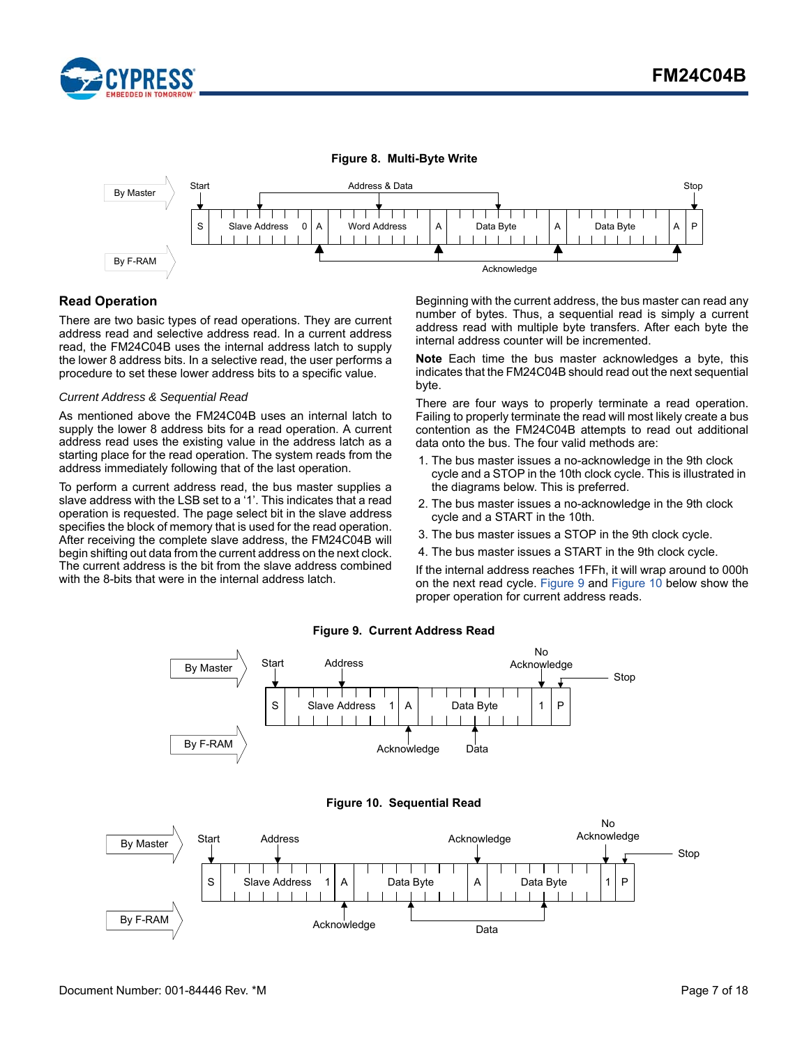

<span id="page-6-1"></span>

### <span id="page-6-0"></span>**Read Operation**

There are two basic types of read operations. They are current address read and selective address read. In a current address read, the FM24C04B uses the internal address latch to supply the lower 8 address bits. In a selective read, the user performs a procedure to set these lower address bits to a specific value.

#### *Current Address & Sequential Read*

As mentioned above the FM24C04B uses an internal latch to supply the lower 8 address bits for a read operation. A current address read uses the existing value in the address latch as a starting place for the read operation. The system reads from the address immediately following that of the last operation.

To perform a current address read, the bus master supplies a slave address with the LSB set to a '1'. This indicates that a read operation is requested. The page select bit in the slave address specifies the block of memory that is used for the read operation. After receiving the complete slave address, the FM24C04B will begin shifting out data from the current address on the next clock. The current address is the bit from the slave address combined with the 8-bits that were in the internal address latch.

Beginning with the current address, the bus master can read any number of bytes. Thus, a sequential read is simply a current address read with multiple byte transfers. After each byte the internal address counter will be incremented.

**Note** Each time the bus master acknowledges a byte, this indicates that the FM24C04B should read out the next sequential byte.

There are four ways to properly terminate a read operation. Failing to properly terminate the read will most likely create a bus contention as the FM24C04B attempts to read out additional data onto the bus. The four valid methods are:

- 1. The bus master issues a no-acknowledge in the 9th clock cycle and a STOP in the 10th clock cycle. This is illustrated in the diagrams below. This is preferred.
- 2. The bus master issues a no-acknowledge in the 9th clock cycle and a START in the 10th.
- 3. The bus master issues a STOP in the 9th clock cycle.
- 4. The bus master issues a START in the 9th clock cycle.

If the internal address reaches 1FFh, it will wrap around to 000h on the next read cycle. [Figure 9](#page-6-2) and [Figure 10](#page-6-3) below show the proper operation for current address reads.

<span id="page-6-3"></span><span id="page-6-2"></span>

#### **Figure 9. Current Address Read**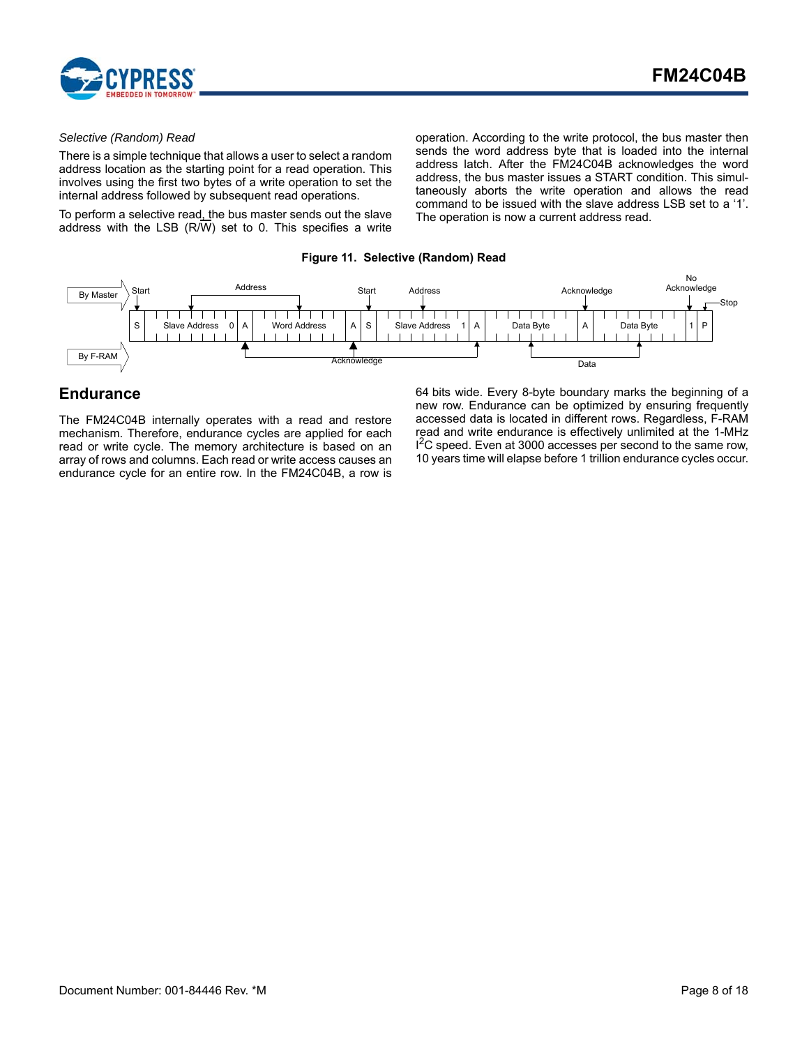

#### *Selective (Random) Read*

There is a simple technique that allows a user to select a random address location as the starting point for a read operation. This involves using the first two bytes of a write operation to set the internal address followed by subsequent read operations.

To perform a selective read, the bus master sends out the slave address with the LSB (R/W) set to 0. This specifies a write operation. According to the write protocol, the bus master then sends the word address byte that is loaded into the internal address latch. After the FM24C04B acknowledges the word address, the bus master issues a START condition. This simultaneously aborts the write operation and allows the read command to be issued with the slave address LSB set to a '1'. The operation is now a current address read.

#### **Figure 11. Selective (Random) Read**



### <span id="page-7-0"></span>**Endurance**

The FM24C04B internally operates with a read and restore mechanism. Therefore, endurance cycles are applied for each read or write cycle. The memory architecture is based on an array of rows and columns. Each read or write access causes an endurance cycle for an entire row. In the FM24C04B, a row is 64 bits wide. Every 8-byte boundary marks the beginning of a new row. Endurance can be optimized by ensuring frequently accessed data is located in different rows. Regardless, F-RAM read and write endurance is effectively unlimited at the 1-MHz <sup>2</sup>C speed. Even at 3000 accesses per second to the same row, 10 years time will elapse before 1 trillion endurance cycles occur.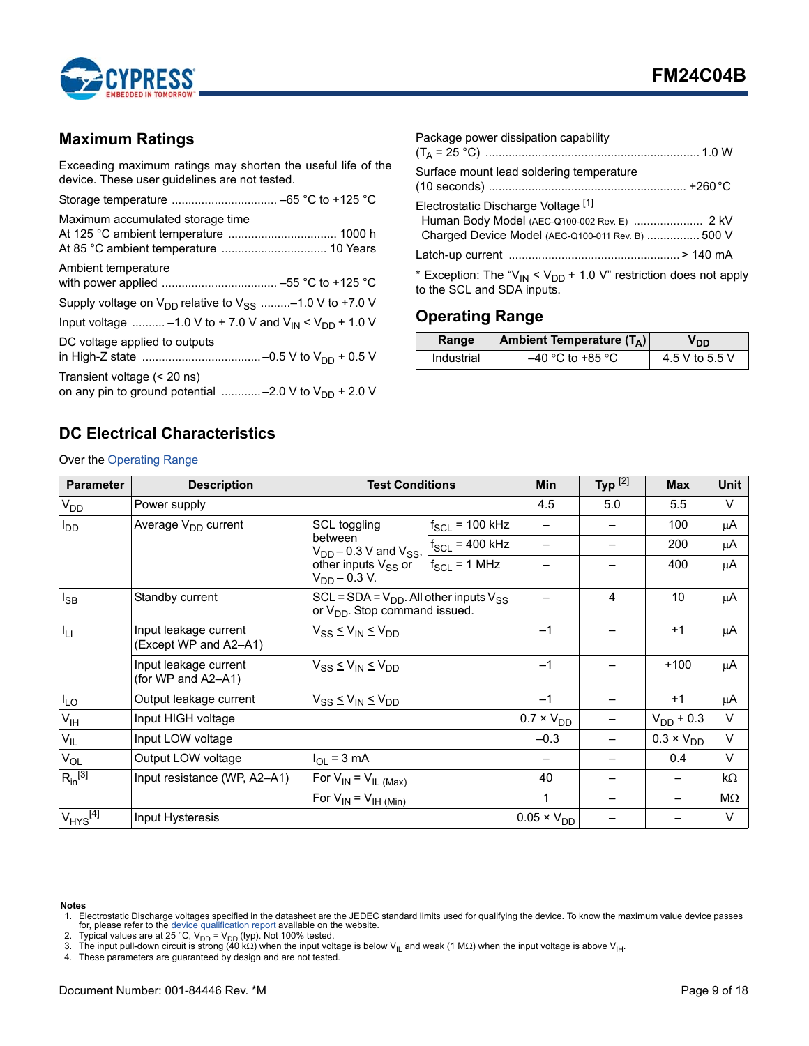

# <span id="page-8-0"></span>**Maximum Ratings**

Exceeding maximum ratings may shorten the useful life of the device. These user guidelines are not tested.

| Maximum accumulated storage time                                                          |
|-------------------------------------------------------------------------------------------|
| Ambient temperature                                                                       |
| Supply voltage on $V_{DD}$ relative to $V_{SS}$ -1.0 V to +7.0 V                          |
| Input voltage  -1.0 V to + 7.0 V and V <sub>IN</sub> < V <sub>DD</sub> + 1.0 V            |
| DC voltage applied to outputs                                                             |
| Transient voltage (< 20 ns)<br>on any pin to ground potential  -2.0 V to $V_{DD}$ + 2.0 V |

| Package power dissipation capability                                                                                                     |  |
|------------------------------------------------------------------------------------------------------------------------------------------|--|
| Surface mount lead soldering temperature                                                                                                 |  |
| Electrostatic Discharge Voltage [1]<br>Human Body Model (AEC-Q100-002 Rev. E)  2 kV<br>Charged Device Model (AEC-Q100-011 Rev. B)  500 V |  |
|                                                                                                                                          |  |
| * Exception: The " $V_{IN}$ < $V_{DD}$ + 1.0 V" restriction does not apply<br>to the SCL and SDA inputs.                                 |  |

# <span id="page-8-1"></span>**Operating Range**

| Range      | <b>Ambient Temperature (TA)</b> | OD ס           |
|------------|---------------------------------|----------------|
| Industrial | –40 °C to +85 °C                | 4.5 V to 5.5 V |

# <span id="page-8-2"></span>**DC Electrical Characteristics**

Over the [Operating Range](#page-8-1)

| <b>Parameter</b>         | <b>Description</b>                             | <b>Test Conditions</b>                                                                        |                     | <b>Min</b>           | Typ $^{[2]}$ | <b>Max</b>          | Unit      |
|--------------------------|------------------------------------------------|-----------------------------------------------------------------------------------------------|---------------------|----------------------|--------------|---------------------|-----------|
| V <sub>DD</sub>          | Power supply                                   |                                                                                               |                     | 4.5                  | 5.0          | 5.5                 | V         |
| $I_{DD}$                 | Average V <sub>DD</sub> current                | SCL toggling                                                                                  | $f_{SCL}$ = 100 kHz |                      |              | 100                 | μA        |
|                          |                                                | between<br>$V_{DD}$ – 0.3 V and $V_{SS}$ ,                                                    | $f_{SCL}$ = 400 kHz |                      |              | 200                 | μA        |
|                          |                                                | other inputs V <sub>SS</sub> or<br>$V_{DD}$ – 0.3 V.                                          | $f_{SCL}$ = 1 MHz   |                      |              | 400                 | $\mu$ A   |
| $I_{SB}$                 | Standby current                                | $SCL = SDA = V_{DD}$ . All other inputs $V_{SS}$<br>or V <sub>DD</sub> . Stop command issued. |                     |                      | 4            | 10                  | $\mu$ A   |
| $I_{LI}$                 | Input leakage current<br>(Except WP and A2-A1) | $V_{SS} \leq V_{IN} \leq V_{DD}$                                                              |                     | $-1$                 |              | $+1$                | $\mu$ A   |
|                          | Input leakage current<br>(for WP and A2-A1)    | $V_{SS} \leq V_{IN} \leq V_{DD}$                                                              |                     | $-1$                 |              | $+100$              | μA        |
| $I_{LO}$                 | Output leakage current                         | $V_{SS} \leq V_{IN} \leq V_{DD}$                                                              |                     | $-1$                 |              | $+1$                | μA        |
| $V_{\text{IH}}$          | Input HIGH voltage                             |                                                                                               | $0.7 \times V_{DD}$ |                      |              | $V_{DD}$ + 0.3      | V         |
| $V_{IL}$                 | Input LOW voltage                              |                                                                                               |                     | $-0.3$               |              | $0.3 \times V_{DD}$ | V         |
| $V_{OL}$                 | Output LOW voltage                             | $I_{OL}$ = 3 mA                                                                               |                     |                      |              | 0.4                 | V         |
| $R_{in}^{[3]}$           | Input resistance (WP, A2-A1)                   | For $V_{IN} = V_{IL \,(Max)}$                                                                 |                     | 40                   |              |                     | $k\Omega$ |
|                          |                                                | For $V_{IN} = V_{IH (Min)}$                                                                   |                     | 1                    |              |                     | ΜΩ        |
| $V_{HYS}$ <sup>[4]</sup> | Input Hysteresis                               |                                                                                               |                     | $0.05 \times V_{DD}$ |              |                     | $\vee$    |

#### **Notes**

<span id="page-8-6"></span>1. Electrostatic Discharge voltages specified in the datasheet are the JEDEC standard limits used for qualifying the device. To know the maximum value device passes<br>2. Typical values are at 25 °C, V<sub>DD</sub> = V<sub>DD</sub> = V<sub>D</sub> (t

<span id="page-8-3"></span>

<span id="page-8-4"></span>

<span id="page-8-5"></span>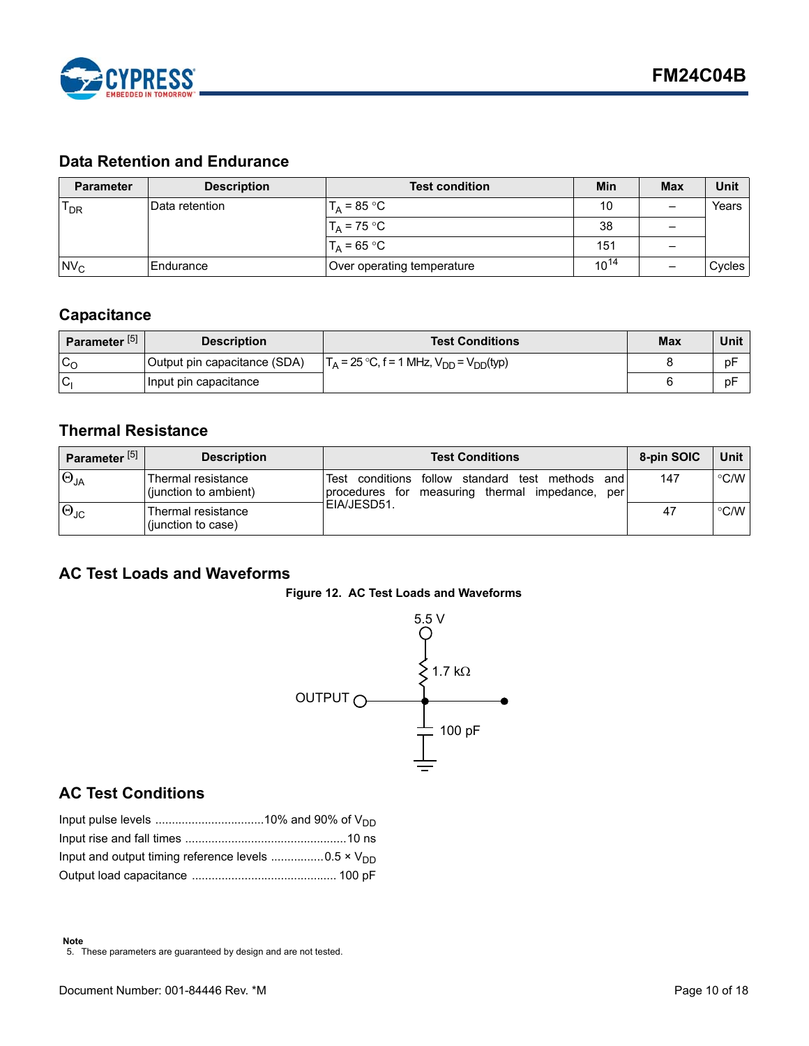

# <span id="page-9-0"></span>**Data Retention and Endurance**

| <b>Parameter</b> | <b>Description</b> | <b>Test condition</b>      | <b>Min</b> | <b>Max</b> | Unit   |
|------------------|--------------------|----------------------------|------------|------------|--------|
| $T_{DR}$         | IData retention    | $T_A = 85 °C$              | 10         | –          | Years  |
|                  |                    | $T_A$ = 75 °C              | 38         |            |        |
|                  |                    | $T_A = 65 °C$              | 151        | -          |        |
| $Nv_c$           | Endurance          | Over operating temperature | $10^{14}$  |            | Cycles |

# <span id="page-9-1"></span>**Capacitance**

| Parameter <sup>[5]</sup> | <b>Description</b>           | <b>Test Conditions</b>                            | Max | Unit |
|--------------------------|------------------------------|---------------------------------------------------|-----|------|
| $c_{\rm o}$              | Output pin capacitance (SDA) | $T_A = 25 °C$ , f = 1 MHz, $V_{DD} = V_{DD}(typ)$ |     | pF   |
| <b>C</b>                 | Input pin capacitance        |                                                   |     | pF   |

# <span id="page-9-2"></span>**Thermal Resistance**

| Parameter <sup>[5]</sup> | <b>Description</b>                          | <b>Test Conditions</b>                                                                                                   | 8-pin SOIC | Unit I             |
|--------------------------|---------------------------------------------|--------------------------------------------------------------------------------------------------------------------------|------------|--------------------|
| $\Theta_{JA}$            | Thermal resistance<br>(junction to ambient) | conditions follow<br>standard<br>methods<br>Test<br>test<br>and<br>measuring thermal<br>impedance, per<br>procedures for | 147        | $\degree$ C/W      |
| $\Theta_{\text{JC}}$     | Thermal resistance<br>(junction to case)    | IEIA/JESD51.                                                                                                             | 47         | $\rm ^{\circ}$ C/W |

# <span id="page-9-6"></span><span id="page-9-3"></span>**AC Test Loads and Waveforms**





# <span id="page-9-4"></span>**AC Test Conditions**

<span id="page-9-5"></span>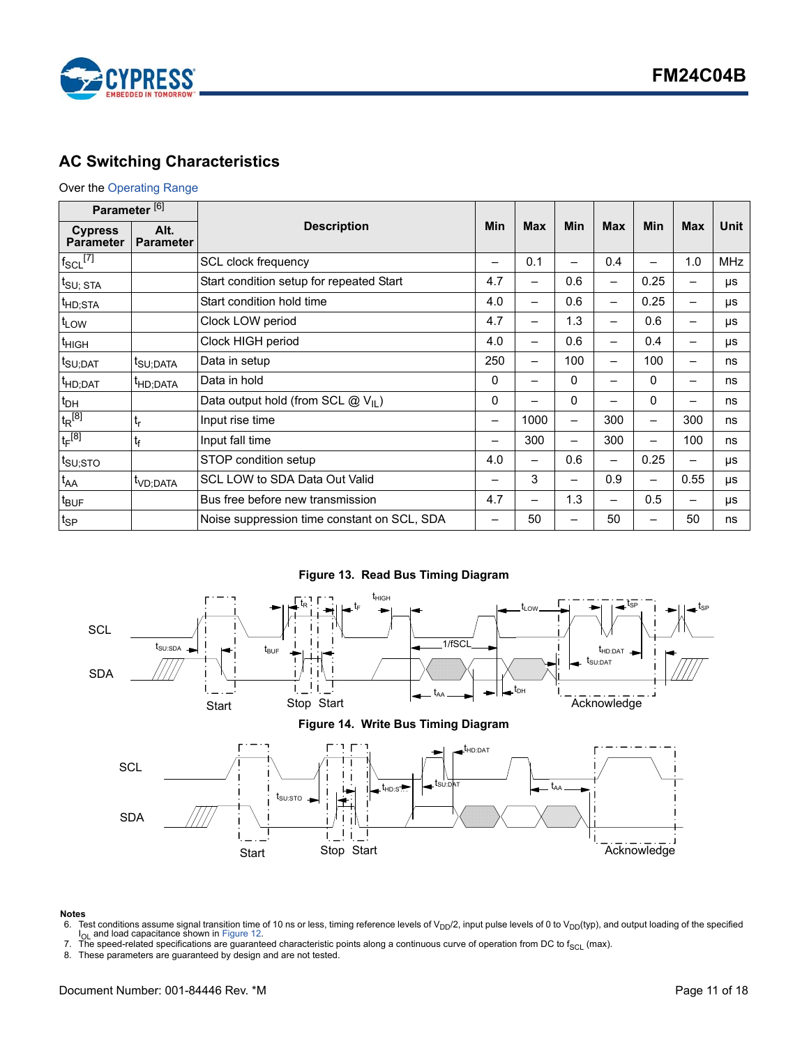

# <span id="page-10-0"></span>**AC Switching Characteristics**

### Over the [Operating Range](#page-8-1)

| Parameter <sup>[6]</sup>           |                          |                                             |     |            |                          |                          |      |                          |             |
|------------------------------------|--------------------------|---------------------------------------------|-----|------------|--------------------------|--------------------------|------|--------------------------|-------------|
| <b>Cypress</b><br><b>Parameter</b> | Alt.<br><b>Parameter</b> | <b>Description</b>                          |     | <b>Max</b> | Min                      | <b>Max</b>               | Min  | <b>Max</b>               | <b>Unit</b> |
| $f_{SCL}$ [7]                      |                          | SCL clock frequency                         |     | 0.1        | -                        | 0.4                      | -    | 1.0                      | <b>MHz</b>  |
| $t_{\text{SU};\; \text{STA}}$      |                          | Start condition setup for repeated Start    | 4.7 | —          | 0.6                      | —                        | 0.25 | $\overline{\phantom{0}}$ | μs          |
| <sup>t</sup> HD;STA                |                          | Start condition hold time                   | 4.0 | —          | 0.6                      | $\overline{\phantom{0}}$ | 0.25 | -                        | μs          |
| t <sub>LOW</sub>                   |                          | Clock LOW period                            | 4.7 | —          | 1.3                      | —                        | 0.6  | $\overline{\phantom{0}}$ | μs          |
| <sup>t</sup> HIGH                  |                          | Clock HIGH period                           | 4.0 | —          | 0.6                      | —                        | 0.4  | $\overline{\phantom{0}}$ | μs          |
| t <sub>SU;DAT</sub>                | t <sub>SU:DATA</sub>     | Data in setup                               | 250 | —          | 100                      | —                        | 100  | $\overline{\phantom{0}}$ | ns          |
| <sup>t</sup> HD;DAT                | <sup>I</sup> HD;DATA     | Data in hold                                | 0   | —          | 0                        | —                        | 0    | $\overline{\phantom{0}}$ | ns          |
| $t_{DH}$                           |                          | Data output hold (from SCL $@V_{\perp}$ )   | 0   |            | 0                        |                          | 0    |                          | ns          |
| $t_R^{[8]}$                        | $t_r$                    | Input rise time                             | —   | 1000       | $\overline{\phantom{0}}$ | 300                      |      | 300                      | ns          |
| $t_F^{[8]}$                        | $t_{\rm f}$              | Input fall time                             |     | 300        | $\overline{\phantom{0}}$ | 300                      | —    | 100                      | ns          |
| $t_{\text{SU;STO}}$                |                          | STOP condition setup                        | 4.0 | —          | 0.6                      | $\overline{\phantom{0}}$ | 0.25 | $\overline{\phantom{0}}$ | μs          |
| $t_{AA}$                           | <sup>t</sup> VD:DATA     | SCL LOW to SDA Data Out Valid               |     | 3          |                          | 0.9                      | —    | 0.55                     | μs          |
| $t_{\text{BUF}}$                   |                          | Bus free before new transmission            | 4.7 | —          | 1.3                      | $\overline{\phantom{0}}$ | 0.5  |                          | μs          |
| $t_{SP}$                           |                          | Noise suppression time constant on SCL, SDA |     | 50         | —                        | 50                       |      | 50                       | ns          |

**Figure 13. Read Bus Timing Diagram**



**Figure 14. Write Bus Timing Diagram**



#### **Notes**

- <span id="page-10-1"></span>6. Test conditions assume signal transition time of 10 ns or less, timing reference levels of V<sub>DD</sub>/2, input pulse levels of 0 to V<sub>DD</sub>(typ), and output loading of the specified<br>I<sub>OL</sub> and load capacitance shown in Figure
- <span id="page-10-2"></span>

<span id="page-10-3"></span>8. These parameters are guaranteed by design and are not tested.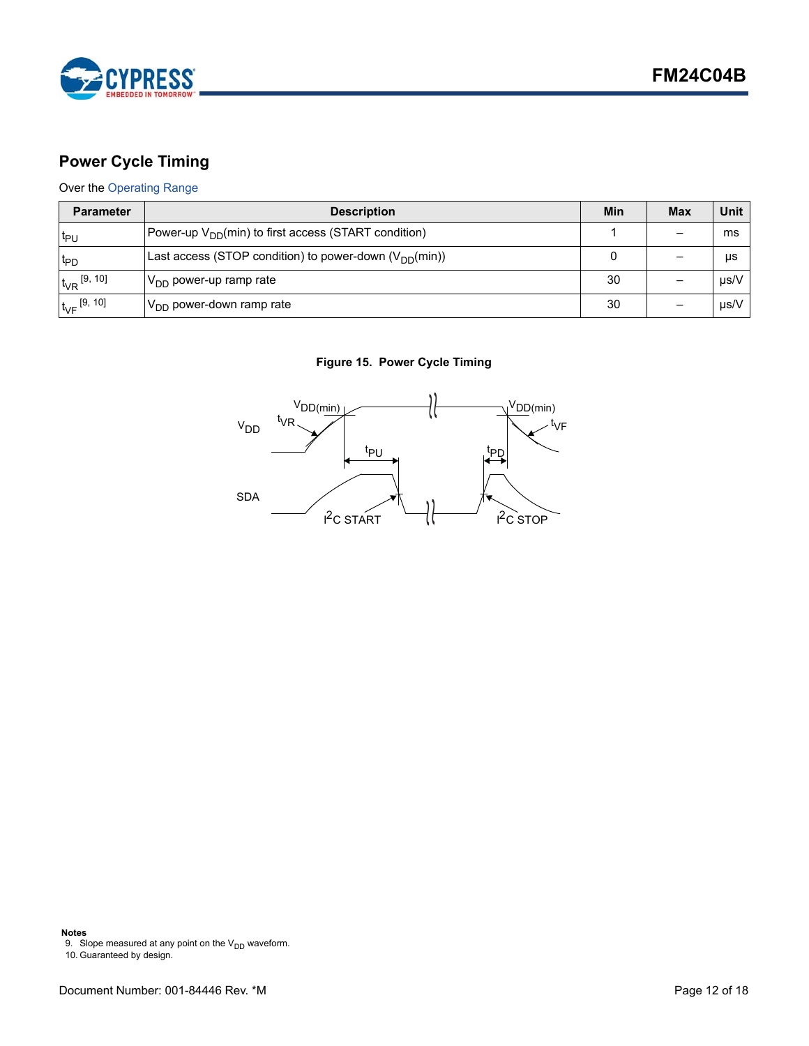

# <span id="page-11-0"></span>**Power Cycle Timing**

### Over the [Operating Range](#page-8-1)

| <b>Parameter</b>     | <b>Description</b>                                               | Min | <b>Max</b> | Unit      |
|----------------------|------------------------------------------------------------------|-----|------------|-----------|
| t <sub>PU</sub>      | Power-up V <sub>DD</sub> (min) to first access (START condition) |     |            | ms        |
| <sup>t</sup> PD      | Last access (STOP condition) to power-down $(V_{DD}(min))$       |     |            | μs        |
| $t_{VR}$ [9, 10]     | IV <sub>DD</sub> power-up ramp rate                              | 30  |            | µs/V      |
| $t_{\rm VF}$ [9, 10] | $ V_{\text{DD}}$ power-down ramp rate                            | 30  |            | $\mu$ s/V |

### **Figure 15. Power Cycle Timing**



**Notes**

<span id="page-11-2"></span>9. Slope measured at any point on the  $V_{DD}$  waveform.

<span id="page-11-1"></span><sup>10.</sup> Guaranteed by design.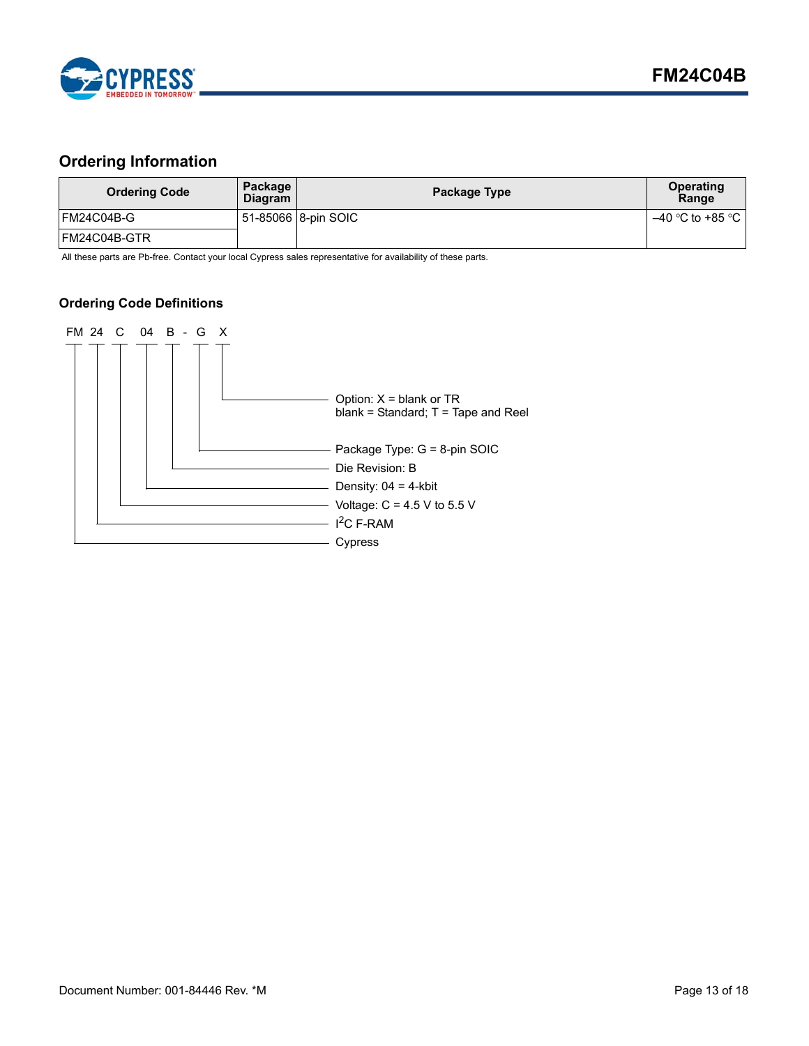

# <span id="page-12-0"></span>**Ordering Information**

| <b>Ordering Code</b> | Package<br><b>Diagram</b> | Package Type        | Operating<br>Range   |
|----------------------|---------------------------|---------------------|----------------------|
| FM24C04B-G           |                           | 51-85066 8-pin SOIC | $-40$ °C to +85 °C I |
| IFM24C04B-GTR        |                           |                     |                      |

All these parts are Pb-free. Contact your local Cypress sales representative for availability of these parts.

### <span id="page-12-1"></span>**Ordering Code Definitions**

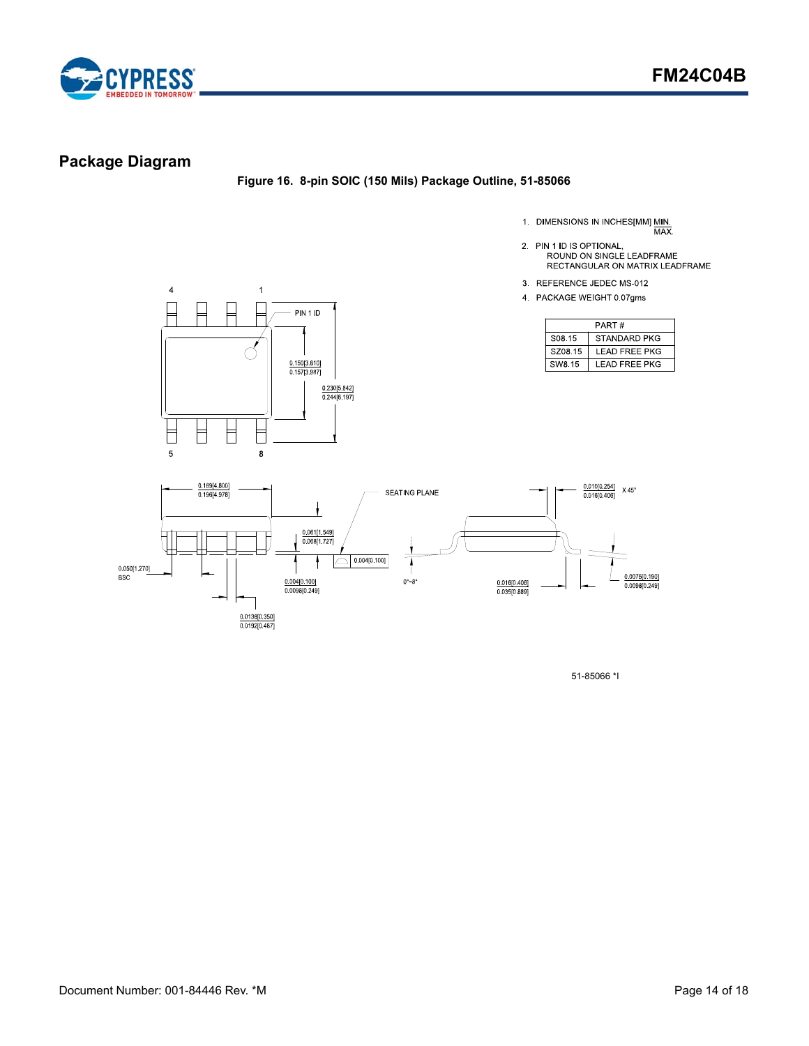

# <span id="page-13-0"></span>**Package Diagram**

### **Figure 16. 8-pin SOIC (150 Mils) Package Outline, 51-85066**

- 1. DIMENSIONS IN INCHES[MM] MIN.<br>MAX.
- 2. PIN 1 ID IS OPTIONAL,<br>ROUND ON SINGLE LEADFRAME<br>RECTANGULAR ON MATRIX LEADFRAME
- 
- 3 REFERENCE JEDEC MS-012
- 4 PACKAGE WEIGHT 0.07gms

| PART#              |                |  |  |  |
|--------------------|----------------|--|--|--|
| S <sub>08.15</sub> | STANDARD PKG   |  |  |  |
| SZ08 15            | I FAD FRFF PKG |  |  |  |
| SW8.15             | LEAD FREE PKG  |  |  |  |





51-85066 \*I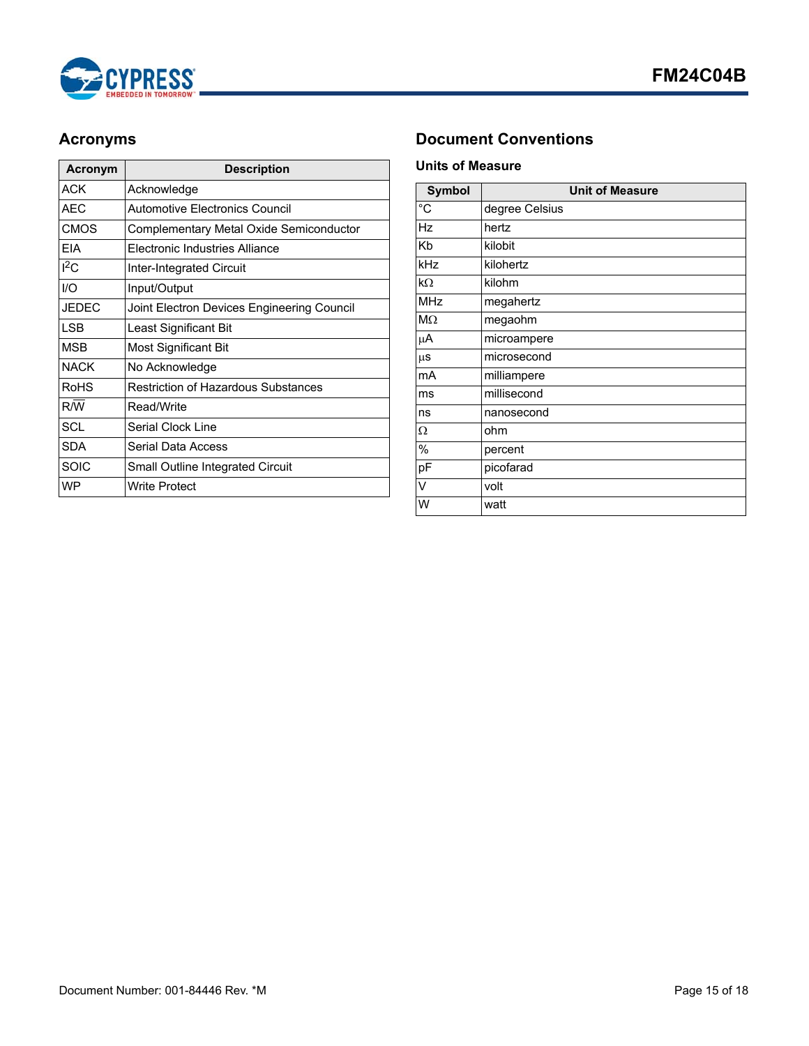

| Acronym      | <b>Description</b>                         |
|--------------|--------------------------------------------|
| ACK          | Acknowledge                                |
| AEC          | Automotive Electronics Council             |
| <b>CMOS</b>  | Complementary Metal Oxide Semiconductor    |
| <b>FIA</b>   | Flectronic Industries Alliance             |
| $1^2C$       | <b>Inter-Integrated Circuit</b>            |
| I/O          | Input/Output                               |
| <b>JEDEC</b> | Joint Electron Devices Engineering Council |
| <b>LSB</b>   | Least Significant Bit                      |
| MSB          | Most Significant Bit                       |
| <b>NACK</b>  | No Acknowledge                             |
| <b>RoHS</b>  | <b>Restriction of Hazardous Substances</b> |
| R/W          | Read/Write                                 |
| SCL          | Serial Clock Line                          |
| SDA          | Serial Data Access                         |
| <b>SOIC</b>  | Small Outline Integrated Circuit           |
| <b>WP</b>    | <b>Write Protect</b>                       |

# <span id="page-14-0"></span>**Acronyms Document Conventions**

### <span id="page-14-2"></span><span id="page-14-1"></span>**Units of Measure**

| <b>Symbol</b>  | <b>Unit of Measure</b> |  |  |  |
|----------------|------------------------|--|--|--|
| $\overline{c}$ | degree Celsius         |  |  |  |
| Hz             | hertz                  |  |  |  |
| Kb             | kilobit                |  |  |  |
| kHz            | kilohertz              |  |  |  |
| $k\Omega$      | kilohm                 |  |  |  |
| <b>MHz</b>     | megahertz              |  |  |  |
| $M\Omega$      | megaohm                |  |  |  |
| μA             | microampere            |  |  |  |
| $\mu$ s        | microsecond            |  |  |  |
| mA             | milliampere            |  |  |  |
| ms             | millisecond            |  |  |  |
| ns             | nanosecond             |  |  |  |
| Ω              | ohm                    |  |  |  |
| $\%$           | percent                |  |  |  |
| pF             | picofarad              |  |  |  |
| V              | volt                   |  |  |  |
| W              | watt                   |  |  |  |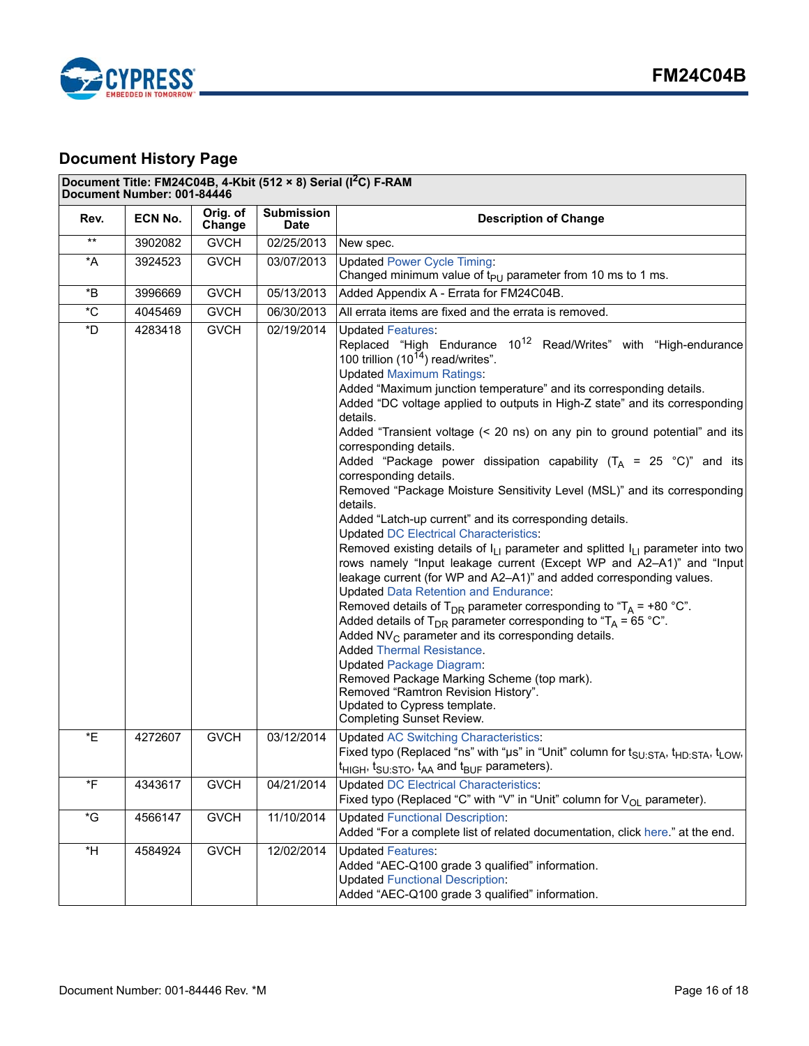

# <span id="page-15-0"></span>**Document History Page**

### **Document Title: FM24C04B, 4-Kbit (512 × 8) Serial (I2C) F-RAM**

| Document Number: 001-84446 |         |                    |                                  |                                                                                                                                                                                                                                                                                                                                                                                                                                                                                                                                                                                                                                                                                                                                                                                                                                                                                                                                                                                                                                                                                                                                                                                                                                                                                                                                                                                                                                                                                                                                                      |
|----------------------------|---------|--------------------|----------------------------------|------------------------------------------------------------------------------------------------------------------------------------------------------------------------------------------------------------------------------------------------------------------------------------------------------------------------------------------------------------------------------------------------------------------------------------------------------------------------------------------------------------------------------------------------------------------------------------------------------------------------------------------------------------------------------------------------------------------------------------------------------------------------------------------------------------------------------------------------------------------------------------------------------------------------------------------------------------------------------------------------------------------------------------------------------------------------------------------------------------------------------------------------------------------------------------------------------------------------------------------------------------------------------------------------------------------------------------------------------------------------------------------------------------------------------------------------------------------------------------------------------------------------------------------------------|
| Rev.                       | ECN No. | Orig. of<br>Change | <b>Submission</b><br><b>Date</b> | <b>Description of Change</b>                                                                                                                                                                                                                                                                                                                                                                                                                                                                                                                                                                                                                                                                                                                                                                                                                                                                                                                                                                                                                                                                                                                                                                                                                                                                                                                                                                                                                                                                                                                         |
| $***$                      | 3902082 | <b>GVCH</b>        | 02/25/2013                       | New spec.                                                                                                                                                                                                                                                                                                                                                                                                                                                                                                                                                                                                                                                                                                                                                                                                                                                                                                                                                                                                                                                                                                                                                                                                                                                                                                                                                                                                                                                                                                                                            |
| *A                         | 3924523 | <b>GVCH</b>        | 03/07/2013                       | <b>Updated Power Cycle Timing:</b><br>Changed minimum value of $t_{PU}$ parameter from 10 ms to 1 ms.                                                                                                                                                                                                                                                                                                                                                                                                                                                                                                                                                                                                                                                                                                                                                                                                                                                                                                                                                                                                                                                                                                                                                                                                                                                                                                                                                                                                                                                |
| *B                         | 3996669 | <b>GVCH</b>        | 05/13/2013                       | Added Appendix A - Errata for FM24C04B.                                                                                                                                                                                                                                                                                                                                                                                                                                                                                                                                                                                                                                                                                                                                                                                                                                                                                                                                                                                                                                                                                                                                                                                                                                                                                                                                                                                                                                                                                                              |
| $^\ast\text{C}$            | 4045469 | <b>GVCH</b>        | 06/30/2013                       | All errata items are fixed and the errata is removed.                                                                                                                                                                                                                                                                                                                                                                                                                                                                                                                                                                                                                                                                                                                                                                                                                                                                                                                                                                                                                                                                                                                                                                                                                                                                                                                                                                                                                                                                                                |
| *D                         | 4283418 | <b>GVCH</b>        | $\frac{02}{19/2014}$             | <b>Updated Features:</b><br>Replaced "High Endurance 10 <sup>12</sup> Read/Writes" with "High-endurance<br>100 trillion $(10^{14})$ read/writes".<br><b>Updated Maximum Ratings:</b><br>Added "Maximum junction temperature" and its corresponding details.<br>Added "DC voltage applied to outputs in High-Z state" and its corresponding<br>details.<br>Added "Transient voltage (< 20 ns) on any pin to ground potential" and its<br>corresponding details.<br>Added "Package power dissipation capability $(T_A = 25 \degree C)$ " and its<br>corresponding details.<br>Removed "Package Moisture Sensitivity Level (MSL)" and its corresponding<br>details.<br>Added "Latch-up current" and its corresponding details.<br><b>Updated DC Electrical Characteristics:</b><br>Removed existing details of $I_{L1}$ parameter and splitted $I_{L1}$ parameter into two<br>rows namely "Input leakage current (Except WP and A2-A1)" and "Input<br>leakage current (for WP and A2-A1)" and added corresponding values.<br><b>Updated Data Retention and Endurance:</b><br>Removed details of T <sub>DR</sub> parameter corresponding to "T <sub>A</sub> = +80 °C".<br>Added details of T <sub>DR</sub> parameter corresponding to "T <sub>A</sub> = 65 °C".<br>Added $NV_C$ parameter and its corresponding details.<br><b>Added Thermal Resistance.</b><br><b>Updated Package Diagram:</b><br>Removed Package Marking Scheme (top mark).<br>Removed "Ramtron Revision History".<br>Updated to Cypress template.<br><b>Completing Sunset Review.</b> |
| *E                         | 4272607 | <b>GVCH</b>        | 03/12/2014                       | <b>Updated AC Switching Characteristics:</b><br>Fixed typo (Replaced "ns" with "µs" in "Unit" column for t <sub>SU:STA</sub> , t <sub>HD:STA</sub> , t <sub>LOW</sub> ,<br>$t_{HIGH}$ , $t_{SU:STO}$ , $t_{AA}$ and $t_{BUF}$ parameters).                                                                                                                                                                                                                                                                                                                                                                                                                                                                                                                                                                                                                                                                                                                                                                                                                                                                                                                                                                                                                                                                                                                                                                                                                                                                                                           |
| *F                         | 4343617 | <b>GVCH</b>        | 04/21/2014                       | <b>Updated DC Electrical Characteristics:</b><br>Fixed typo (Replaced "C" with "V" in "Unit" column for $V_{\text{OL}}$ parameter).                                                                                                                                                                                                                                                                                                                                                                                                                                                                                                                                                                                                                                                                                                                                                                                                                                                                                                                                                                                                                                                                                                                                                                                                                                                                                                                                                                                                                  |
| $\,{}^\star \mathrm{G}$    | 4566147 | <b>GVCH</b>        | 11/10/2014                       | <b>Updated Functional Description:</b><br>Added "For a complete list of related documentation, click here." at the end.                                                                                                                                                                                                                                                                                                                                                                                                                                                                                                                                                                                                                                                                                                                                                                                                                                                                                                                                                                                                                                                                                                                                                                                                                                                                                                                                                                                                                              |
| *H                         | 4584924 | <b>GVCH</b>        | 12/02/2014                       | <b>Updated Features:</b><br>Added "AEC-Q100 grade 3 qualified" information.<br><b>Updated Functional Description:</b><br>Added "AEC-Q100 grade 3 qualified" information.                                                                                                                                                                                                                                                                                                                                                                                                                                                                                                                                                                                                                                                                                                                                                                                                                                                                                                                                                                                                                                                                                                                                                                                                                                                                                                                                                                             |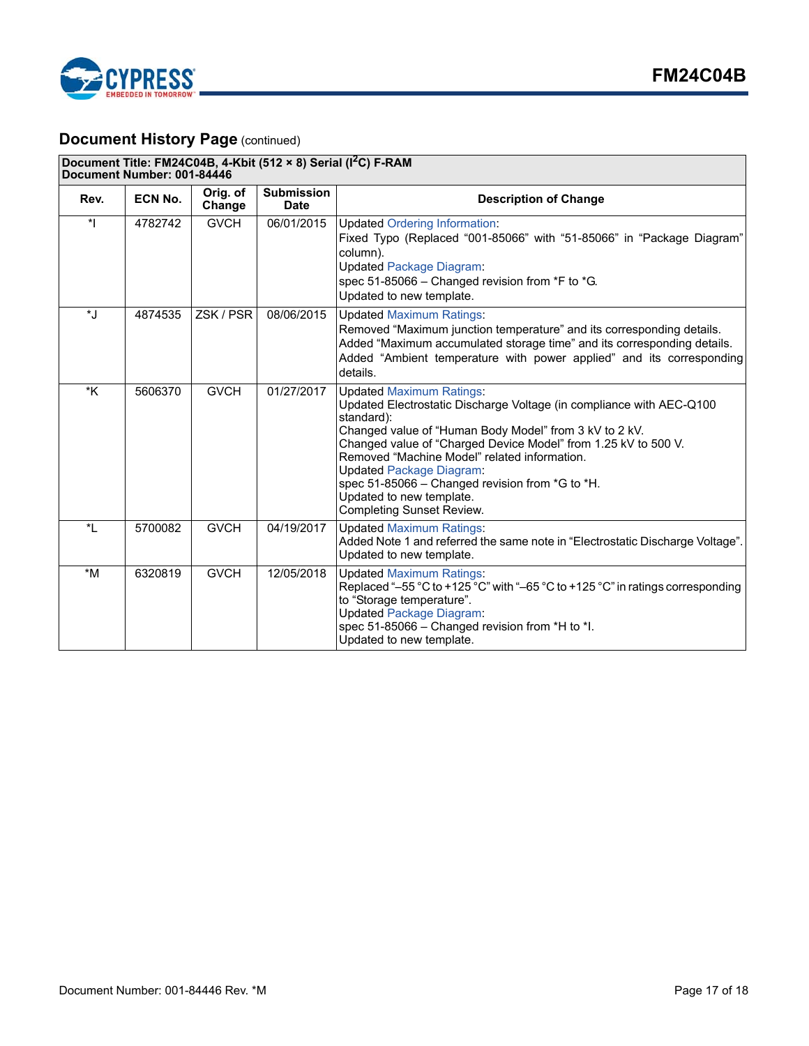

# **Document History Page (continued)**

| Document Title: FM24C04B, 4-Kbit (512 × 8) Serial (I <sup>2</sup> C) F-RAM<br>Document Number: 001-84446 |         |                    |                                  |                                                                                                                                                                                                                                                                                                                                                                                                                                                         |
|----------------------------------------------------------------------------------------------------------|---------|--------------------|----------------------------------|---------------------------------------------------------------------------------------------------------------------------------------------------------------------------------------------------------------------------------------------------------------------------------------------------------------------------------------------------------------------------------------------------------------------------------------------------------|
| Rev.                                                                                                     | ECN No. | Orig. of<br>Change | <b>Submission</b><br><b>Date</b> | <b>Description of Change</b>                                                                                                                                                                                                                                                                                                                                                                                                                            |
| $\star$                                                                                                  | 4782742 | <b>GVCH</b>        | 06/01/2015                       | <b>Updated Ordering Information:</b><br>Fixed Typo (Replaced "001-85066" with "51-85066" in "Package Diagram"<br>column).<br><b>Updated Package Diagram:</b><br>spec 51-85066 - Changed revision from *F to *G.<br>Updated to new template.                                                                                                                                                                                                             |
| *J                                                                                                       | 4874535 | ZSK / PSR          | 08/06/2015                       | <b>Updated Maximum Ratings:</b><br>Removed "Maximum junction temperature" and its corresponding details.<br>Added "Maximum accumulated storage time" and its corresponding details.<br>Added "Ambient temperature with power applied" and its corresponding<br>details.                                                                                                                                                                                 |
| *K                                                                                                       | 5606370 | <b>GVCH</b>        | 01/27/2017                       | <b>Updated Maximum Ratings:</b><br>Updated Electrostatic Discharge Voltage (in compliance with AEC-Q100<br>standard):<br>Changed value of "Human Body Model" from 3 kV to 2 kV.<br>Changed value of "Charged Device Model" from 1.25 kV to 500 V.<br>Removed "Machine Model" related information.<br><b>Updated Package Diagram:</b><br>spec 51-85066 - Changed revision from *G to *H.<br>Updated to new template.<br><b>Completing Sunset Review.</b> |
| $\star$ <sub>1</sub>                                                                                     | 5700082 | <b>GVCH</b>        | 04/19/2017                       | <b>Updated Maximum Ratings:</b><br>Added Note 1 and referred the same note in "Electrostatic Discharge Voltage".<br>Updated to new template.                                                                                                                                                                                                                                                                                                            |
| $*M$                                                                                                     | 6320819 | <b>GVCH</b>        | 12/05/2018                       | <b>Updated Maximum Ratings:</b><br>Replaced "-55 °C to +125 °C" with "-65 °C to +125 °C" in ratings corresponding<br>to "Storage temperature".<br><b>Updated Package Diagram:</b><br>spec 51-85066 - Changed revision from *H to *I.<br>Updated to new template.                                                                                                                                                                                        |